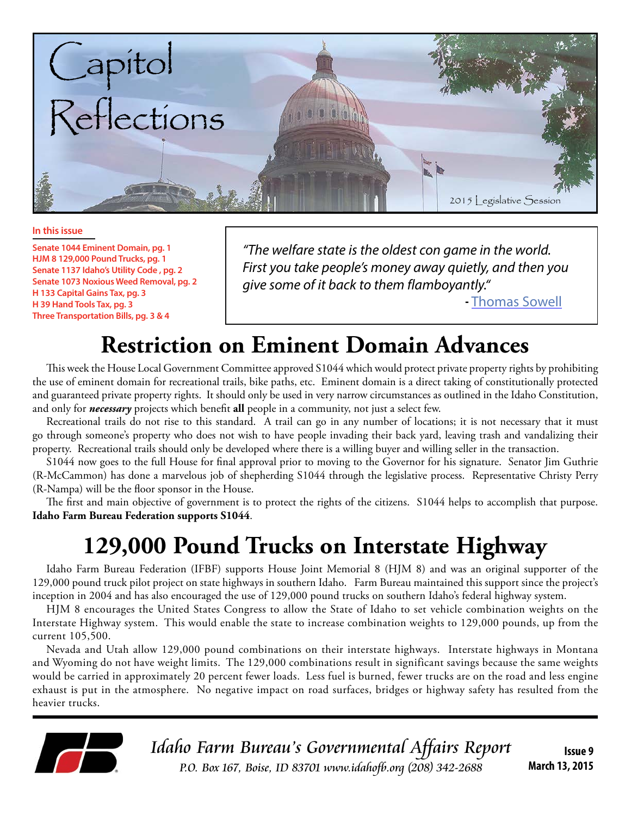

#### **In this issue**

**Senate 1044 Eminent Domain, pg. 1 HJM 8 129,000 Pound Trucks, pg. 1 Senate 1137 Idaho's Utility Code , pg. 2 Senate 1073 Noxious Weed Removal, pg. 2 H 133 Capital Gains Tax, pg. 3 H 39 Hand Tools Tax, pg. 3 Three Transportation Bills, pg. 3 & 4**

*"The welfare state is the oldest con game in the world. First you take people's money away quietly, and then you give some of it back to them flamboyantly."*

 **-** [Thomas Sowell](https://www.facebook.com/AtlasShruggedMovie/photos/a.145967185415114.29212.144777702200729/965296583482166/?type=1&theater)

# **Restriction on Eminent Domain Advances**

This week the House Local Government Committee approved S1044 which would protect private property rights by prohibiting the use of eminent domain for recreational trails, bike paths, etc. Eminent domain is a direct taking of constitutionally protected and guaranteed private property rights. It should only be used in very narrow circumstances as outlined in the Idaho Constitution, and only for *necessary* projects which benefit **all** people in a community, not just a select few.

Recreational trails do not rise to this standard. A trail can go in any number of locations; it is not necessary that it must go through someone's property who does not wish to have people invading their back yard, leaving trash and vandalizing their property. Recreational trails should only be developed where there is a willing buyer and willing seller in the transaction.

S1044 now goes to the full House for final approval prior to moving to the Governor for his signature. Senator Jim Guthrie (R-McCammon) has done a marvelous job of shepherding S1044 through the legislative process. Representative Christy Perry (R-Nampa) will be the floor sponsor in the House.

The first and main objective of government is to protect the rights of the citizens. S1044 helps to accomplish that purpose. **Idaho Farm Bureau Federation supports S1044**.

# **129,000 Pound Trucks on Interstate Highway**

Idaho Farm Bureau Federation (IFBF) supports House Joint Memorial 8 (HJM 8) and was an original supporter of the 129,000 pound truck pilot project on state highways in southern Idaho. Farm Bureau maintained this support since the project's inception in 2004 and has also encouraged the use of 129,000 pound trucks on southern Idaho's federal highway system.

HJM 8 encourages the United States Congress to allow the State of Idaho to set vehicle combination weights on the Interstate Highway system. This would enable the state to increase combination weights to 129,000 pounds, up from the current 105,500.

Nevada and Utah allow 129,000 pound combinations on their interstate highways. Interstate highways in Montana and Wyoming do not have weight limits. The 129,000 combinations result in significant savings because the same weights would be carried in approximately 20 percent fewer loads. Less fuel is burned, fewer trucks are on the road and less engine exhaust is put in the atmosphere. No negative impact on road surfaces, bridges or highway safety has resulted from the heavier trucks.



**Issue 9 March 13, 2015**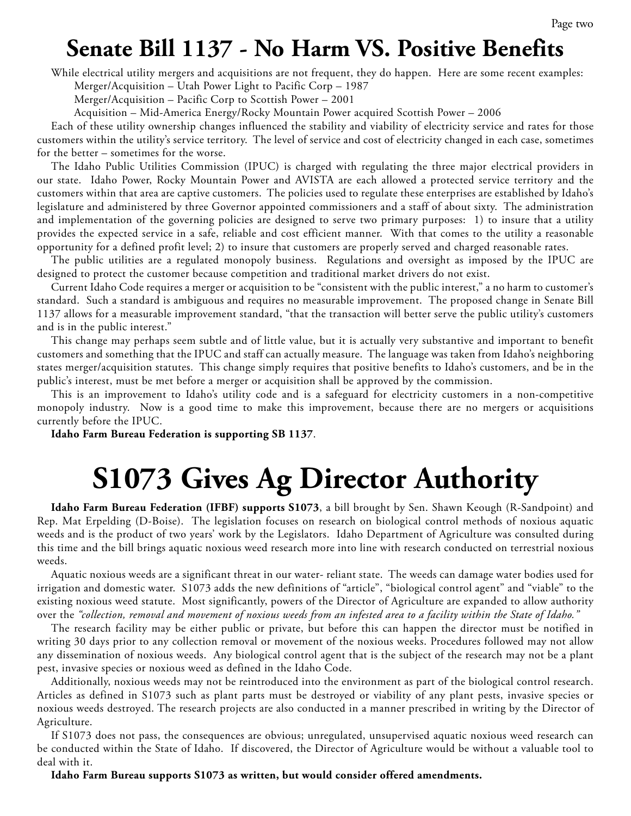# **Senate Bill 1137 - No Harm VS. Positive Benefits**

While electrical utility mergers and acquisitions are not frequent, they do happen. Here are some recent examples:

Merger/Acquisition – Utah Power Light to Pacific Corp – 1987

Merger/Acquisition – Pacific Corp to Scottish Power – 2001

Acquisition – Mid-America Energy/Rocky Mountain Power acquired Scottish Power – 2006

Each of these utility ownership changes influenced the stability and viability of electricity service and rates for those customers within the utility's service territory. The level of service and cost of electricity changed in each case, sometimes for the better – sometimes for the worse.

The Idaho Public Utilities Commission (IPUC) is charged with regulating the three major electrical providers in our state. Idaho Power, Rocky Mountain Power and AVISTA are each allowed a protected service territory and the customers within that area are captive customers. The policies used to regulate these enterprises are established by Idaho's legislature and administered by three Governor appointed commissioners and a staff of about sixty. The administration and implementation of the governing policies are designed to serve two primary purposes: 1) to insure that a utility provides the expected service in a safe, reliable and cost efficient manner. With that comes to the utility a reasonable opportunity for a defined profit level; 2) to insure that customers are properly served and charged reasonable rates.

The public utilities are a regulated monopoly business. Regulations and oversight as imposed by the IPUC are designed to protect the customer because competition and traditional market drivers do not exist.

Current Idaho Code requires a merger or acquisition to be "consistent with the public interest," a no harm to customer's standard. Such a standard is ambiguous and requires no measurable improvement. The proposed change in Senate Bill 1137 allows for a measurable improvement standard, "that the transaction will better serve the public utility's customers and is in the public interest."

This change may perhaps seem subtle and of little value, but it is actually very substantive and important to benefit customers and something that the IPUC and staff can actually measure. The language was taken from Idaho's neighboring states merger/acquisition statutes. This change simply requires that positive benefits to Idaho's customers, and be in the public's interest, must be met before a merger or acquisition shall be approved by the commission.

This is an improvement to Idaho's utility code and is a safeguard for electricity customers in a non-competitive monopoly industry. Now is a good time to make this improvement, because there are no mergers or acquisitions currently before the IPUC.

**Idaho Farm Bureau Federation is supporting SB 1137**.

# **S1073 Gives Ag Director Authority**

**Idaho Farm Bureau Federation (IFBF) supports S1073**, a bill brought by Sen. Shawn Keough (R-Sandpoint) and Rep. Mat Erpelding (D-Boise). The legislation focuses on research on biological control methods of noxious aquatic weeds and is the product of two years' work by the Legislators. Idaho Department of Agriculture was consulted during this time and the bill brings aquatic noxious weed research more into line with research conducted on terrestrial noxious weeds.

Aquatic noxious weeds are a significant threat in our water- reliant state. The weeds can damage water bodies used for irrigation and domestic water. S1073 adds the new definitions of "article", "biological control agent" and "viable" to the existing noxious weed statute. Most significantly, powers of the Director of Agriculture are expanded to allow authority over the *"collection, removal and movement of noxious weeds from an infested area to a facility within the State of Idaho."*

The research facility may be either public or private, but before this can happen the director must be notified in writing 30 days prior to any collection removal or movement of the noxious weeks. Procedures followed may not allow any dissemination of noxious weeds. Any biological control agent that is the subject of the research may not be a plant pest, invasive species or noxious weed as defined in the Idaho Code.

Additionally, noxious weeds may not be reintroduced into the environment as part of the biological control research. Articles as defined in S1073 such as plant parts must be destroyed or viability of any plant pests, invasive species or noxious weeds destroyed. The research projects are also conducted in a manner prescribed in writing by the Director of Agriculture.

If S1073 does not pass, the consequences are obvious; unregulated, unsupervised aquatic noxious weed research can be conducted within the State of Idaho. If discovered, the Director of Agriculture would be without a valuable tool to deal with it.

**Idaho Farm Bureau supports S1073 as written, but would consider offered amendments.**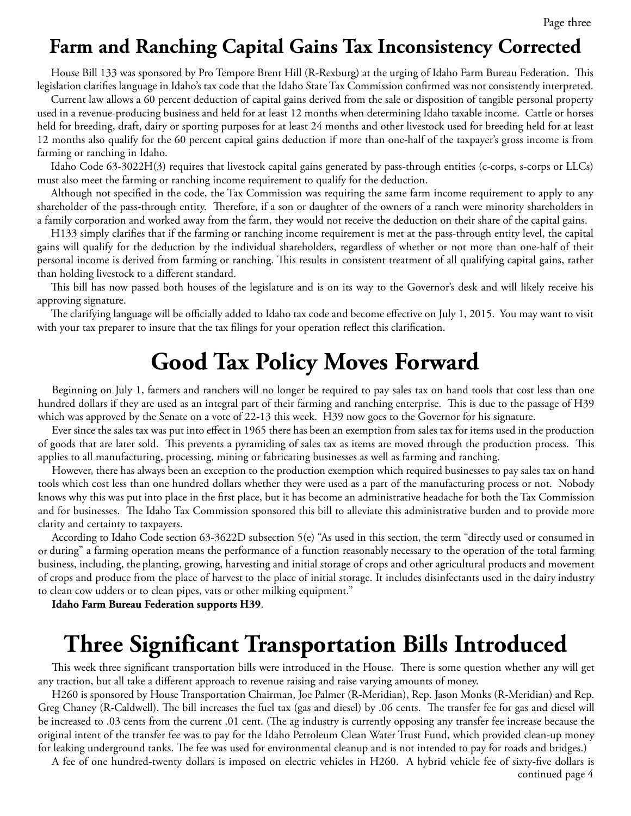### **Farm and Ranching Capital Gains Tax Inconsistency Corrected**

House Bill 133 was sponsored by Pro Tempore Brent Hill (R-Rexburg) at the urging of Idaho Farm Bureau Federation. This legislation clarifies language in Idaho's tax code that the Idaho State Tax Commission confirmed was not consistently interpreted.

Current law allows a 60 percent deduction of capital gains derived from the sale or disposition of tangible personal property used in a revenue-producing business and held for at least 12 months when determining Idaho taxable income. Cattle or horses held for breeding, draft, dairy or sporting purposes for at least 24 months and other livestock used for breeding held for at least 12 months also qualify for the 60 percent capital gains deduction if more than one-half of the taxpayer's gross income is from farming or ranching in Idaho.

Idaho Code 63-3022H(3) requires that livestock capital gains generated by pass-through entities (c-corps, s-corps or LLCs) must also meet the farming or ranching income requirement to qualify for the deduction.

Although not specified in the code, the Tax Commission was requiring the same farm income requirement to apply to any shareholder of the pass-through entity. Therefore, if a son or daughter of the owners of a ranch were minority shareholders in a family corporation and worked away from the farm, they would not receive the deduction on their share of the capital gains.

H133 simply clarifies that if the farming or ranching income requirement is met at the pass-through entity level, the capital gains will qualify for the deduction by the individual shareholders, regardless of whether or not more than one-half of their personal income is derived from farming or ranching. This results in consistent treatment of all qualifying capital gains, rather than holding livestock to a different standard.

This bill has now passed both houses of the legislature and is on its way to the Governor's desk and will likely receive his approving signature.

The clarifying language will be officially added to Idaho tax code and become effective on July 1, 2015. You may want to visit with your tax preparer to insure that the tax filings for your operation reflect this clarification.

# **Good Tax Policy Moves Forward**

Beginning on July 1, farmers and ranchers will no longer be required to pay sales tax on hand tools that cost less than one hundred dollars if they are used as an integral part of their farming and ranching enterprise. This is due to the passage of H39 which was approved by the Senate on a vote of 22-13 this week. H39 now goes to the Governor for his signature.

Ever since the sales tax was put into effect in 1965 there has been an exemption from sales tax for items used in the production of goods that are later sold. This prevents a pyramiding of sales tax as items are moved through the production process. This applies to all manufacturing, processing, mining or fabricating businesses as well as farming and ranching.

However, there has always been an exception to the production exemption which required businesses to pay sales tax on hand tools which cost less than one hundred dollars whether they were used as a part of the manufacturing process or not. Nobody knows why this was put into place in the first place, but it has become an administrative headache for both the Tax Commission and for businesses. The Idaho Tax Commission sponsored this bill to alleviate this administrative burden and to provide more clarity and certainty to taxpayers.

According to Idaho Code section 63-3622D subsection 5(e) "As used in this section, the term "directly used or consumed in or during" a farming operation means the performance of a function reasonably necessary to the operation of the total farming business, including, the planting, growing, harvesting and initial storage of crops and other agricultural products and movement of crops and produce from the place of harvest to the place of initial storage. It includes disinfectants used in the dairy industry to clean cow udders or to clean pipes, vats or other milking equipment."

**Idaho Farm Bureau Federation supports H39**.

# **Three Significant Transportation Bills Introduced**

This week three significant transportation bills were introduced in the House. There is some question whether any will get any traction, but all take a different approach to revenue raising and raise varying amounts of money.

H260 is sponsored by House Transportation Chairman, Joe Palmer (R-Meridian), Rep. Jason Monks (R-Meridian) and Rep. Greg Chaney (R-Caldwell). The bill increases the fuel tax (gas and diesel) by .06 cents. The transfer fee for gas and diesel will be increased to .03 cents from the current .01 cent. (The ag industry is currently opposing any transfer fee increase because the original intent of the transfer fee was to pay for the Idaho Petroleum Clean Water Trust Fund, which provided clean-up money for leaking underground tanks. The fee was used for environmental cleanup and is not intended to pay for roads and bridges.)

A fee of one hundred-twenty dollars is imposed on electric vehicles in H260. A hybrid vehicle fee of sixty-five dollars is